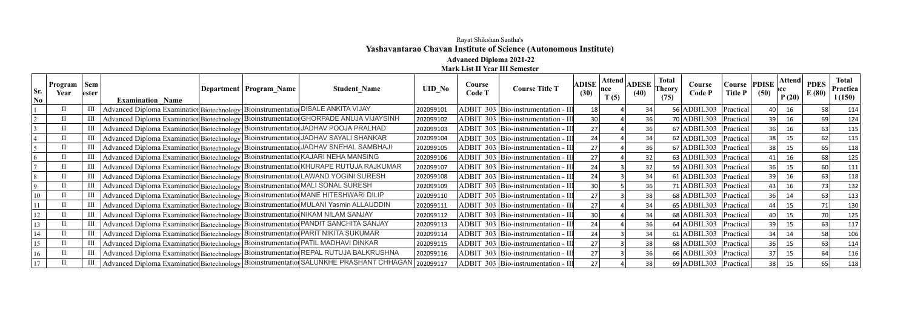## Rayat Shikshan Santha's **Yashavantarao Chavan Institute of Science (Autonomous Institute) Advanced Diploma 2021-22**

**Mark List II Year III Semester**

| Sr.<br>$\overline{\text{No}}$ | Program   Sem<br>Year | ester | <b>Examination Name</b>                                                                | Department   Program_Name | <b>Student Name</b>                                                                     | <b>UID No</b> | Course<br><b>Code T</b> | <b>Course Title T</b>                 | <b>ADISE</b><br>(30) | Attend<br>lnce<br>T(5) | <b>ADESE</b><br>(40) | <b>Total</b><br><b>Theory</b><br>(75) | Course<br>Code P        | Course PDISE<br><b>Title P</b> | (50) | Attend  <br>rce<br>P(20) | <b>PDES</b><br>E(80) | <b>Total</b><br>Practica<br>1(150) |
|-------------------------------|-----------------------|-------|----------------------------------------------------------------------------------------|---------------------------|-----------------------------------------------------------------------------------------|---------------|-------------------------|---------------------------------------|----------------------|------------------------|----------------------|---------------------------------------|-------------------------|--------------------------------|------|--------------------------|----------------------|------------------------------------|
|                               |                       | III   | Advanced Diploma Examination Biotechnology Bioinstrumentation DISALE ANKITA VIJAY      |                           |                                                                                         | 202099101     |                         | ADBIT 303 Bio-instrumentation - III   |                      |                        | 34                   |                                       | 56 ADBIL303   Practical |                                |      | 16                       | 58                   | 114                                |
|                               |                       | Ш     |                                                                                        |                           | Advanced Diploma Examination Biotechnology Bioinstrumentation GHORPADE ANUJA VIJAYSINH  | 202099102     |                         | ADBIT 303 Bio-instrumentation - III   | 30                   |                        |                      |                                       | 70 ADBIL303   Practical |                                | 39   | 16                       | 69                   | 124                                |
|                               |                       | Ш     | Advanced Diploma Examination Biotechnology Bioinstrumentation JADHAV POOJA PRALHAD     |                           |                                                                                         | 202099103     |                         | ADBIT 303 Bio-instrumentation - III   |                      |                        |                      |                                       | 67 ADBIL303   Practical |                                |      | 16                       | 63                   | 115                                |
|                               |                       | Ш     | Advanced Diploma Examination Biotechnology Bioinstrumentation JADHAV SAYALI SHANKAR    |                           |                                                                                         | 202099104     |                         | ADBIT 303   Bio-instrumentation - II  |                      |                        |                      |                                       | 62 ADBIL303   Practical |                                |      | 15                       |                      | 115                                |
|                               |                       |       | Advanced Diploma Examination Biotechnology Bioinstrumentation JADHAV SNEHAL SAMBHAJI   |                           |                                                                                         | 202099105     |                         | ADBIT 303   Bio-instrumentation - III |                      |                        |                      |                                       | 67 ADBIL303   Practical |                                |      | 15                       | 65                   | 118                                |
|                               |                       | Ш     | Advanced Diploma Examination Biotechnology Bioinstrumentation KAJARI NEHA MANSING      |                           |                                                                                         | 202099106     |                         | ADBIT 303   Bio-instrumentation - III |                      |                        | 32                   |                                       | 63 ADBIL303   Practical |                                |      | 16                       | 68                   | 125                                |
|                               |                       | Ш     |                                                                                        |                           | Advanced Diploma Examination Biotechnology   Bioinstrumentation KHURAPE RUTUJA RAJKUMAR | 202099107     |                         | ADBIT 303   Bio-instrumentation - III | 24                   |                        | 32                   |                                       | 59 ADBIL303   Practical |                                |      | 15                       | 60                   | 111                                |
|                               |                       | Ш     | Advanced Diploma Examination Biotechnology Bioinstrumentation LAWAND YOGINI SURESH     |                           |                                                                                         | 202099108     |                         | ADBIT 303   Bio-instrumentation - II  |                      |                        |                      |                                       | 61 ADBIL303   Practical |                                |      | 16                       | 63                   | 118                                |
|                               |                       | Ш     | Advanced Diploma Examination Biotechnology Bioinstrumentation MALI SONAL SURESH        |                           |                                                                                         | 202099109     |                         | ADBIT 303 Bio-instrumentation - III   |                      |                        | 36 l                 |                                       | 71 ADBIL303   Practical |                                |      | 16                       |                      | 132                                |
|                               |                       | III   | Advanced Diploma Examination Biotechnology   Bioinstrumentation MANE HITESHWARI DILIP  |                           |                                                                                         | 202099110     |                         | ADBIT 303   Bio-instrumentation - II  |                      |                        | 38 <sup>1</sup>      |                                       | 68 ADBIL303   Practical |                                |      | 14                       | 63                   | 113                                |
|                               |                       |       | Advanced Diploma Examination Biotechnology Bioinstrumentation MULANI Yasmin ALLAUDDIN  |                           |                                                                                         | 202099111     |                         | ADBIT 303 Bio-instrumentation - III   |                      |                        |                      |                                       | 65 ADBIL303 Practical   |                                |      | 15                       |                      | 130                                |
|                               |                       |       | Advanced Diploma Examination Biotechnology Bioinstrumentation NIKAM NILAM SANJAY       |                           |                                                                                         | 202099112     |                         | ADBIT 303   Bio-instrumentation - III | 30                   |                        | 34                   |                                       | 68 ADBIL303   Practical |                                |      | 15                       |                      | 125                                |
|                               |                       |       | Advanced Diploma Examination Biotechnology   Bioinstrumentation PANDIT SANCHITA SANJAY |                           |                                                                                         | 202099113     |                         | ADBIT 303   Bio-instrumentation - III |                      |                        | 36                   |                                       | 64 ADBIL303   Practical |                                |      | 15                       | 63                   | 117                                |
|                               |                       | Ш     | Advanced Diploma Examination Biotechnology Bioinstrumentation PARIT NIKITA SUKUMAR     |                           |                                                                                         | 202099114     |                         | ADBIT 303 Bio-instrumentation - III   |                      |                        | 34                   |                                       | $61$ ADBIL303           | Practical                      |      | 14                       | 58                   | 106                                |
|                               |                       | Ш     | Advanced Diploma Examination Biotechnology Bioinstrumentation PATIL MADHAVI DINKAR     |                           |                                                                                         | 202099115     |                         | ADBIT 303   Bio-instrumentation - III | 27                   |                        | 38                   |                                       | 68 ADBIL303   Practical |                                |      | 15                       | 63                   | 114                                |
|                               |                       |       |                                                                                        |                           | Advanced Diploma Examination Biotechnology Bioinstrumentation REPAL RUTUJA BALKRUSHNA   | 202099116     |                         | ADBIT 303 Bio-instrumentation - II    |                      |                        |                      |                                       | 66 ADBIL303   Practical |                                |      | 15                       |                      | 116                                |
|                               |                       |       |                                                                                        |                           | Advanced Diploma Examination Biotechnology Bioinstrumentation SALUNKHE PRASHANT CHHAGAN | 202099117     |                         | ADBIT 303   Bio-instrumentation - II  |                      |                        |                      |                                       | 69 ADBIL303   Practical |                                |      | 15                       |                      | 118                                |